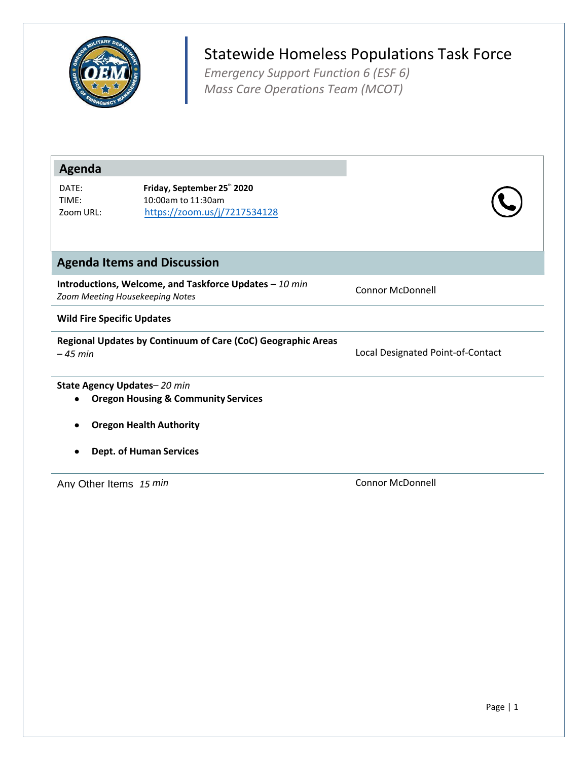

## Statewide Homeless Populations Task Force

*Emergency Support Function 6 (ESF 6) Mass Care Operations Team (MCOT)*

| <b>Agenda</b>                     |                                                                                           |                                   |  |  |
|-----------------------------------|-------------------------------------------------------------------------------------------|-----------------------------------|--|--|
| DATE:<br>TIME:<br>Zoom URL:       | Friday, September 25" 2020<br>10:00am to 11:30am<br>https://zoom.us/j/7217534128          |                                   |  |  |
|                                   | <b>Agenda Items and Discussion</b>                                                        |                                   |  |  |
|                                   | Introductions, Welcome, and Taskforce Updates - 10 min<br>Zoom Meeting Housekeeping Notes | Connor McDonnell                  |  |  |
| <b>Wild Fire Specific Updates</b> |                                                                                           |                                   |  |  |
| $-45$ min                         | Regional Updates by Continuum of Care (CoC) Geographic Areas                              | Local Designated Point-of-Contact |  |  |
|                                   | State Agency Updates-20 min<br><b>Oregon Housing &amp; Community Services</b>             |                                   |  |  |
| <b>Oregon Health Authority</b>    |                                                                                           |                                   |  |  |
|                                   | <b>Dept. of Human Services</b>                                                            |                                   |  |  |
| Any Other Items 15 min            |                                                                                           | <b>Connor McDonnell</b>           |  |  |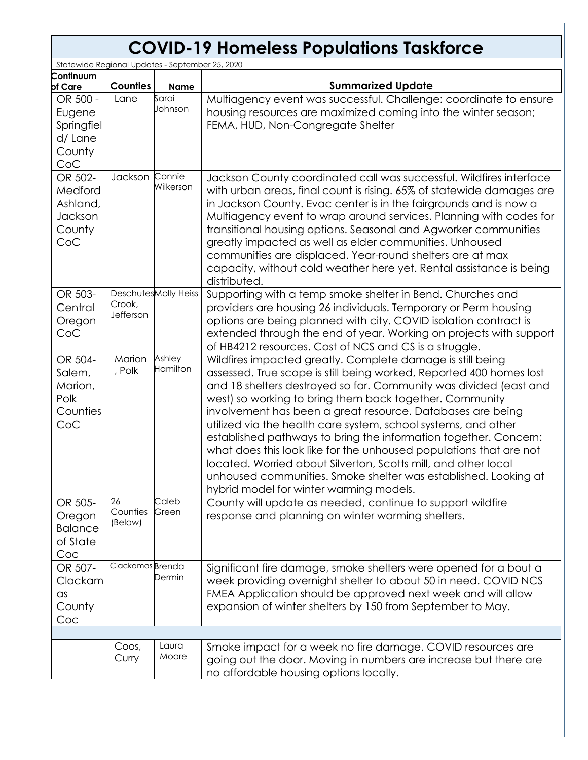## **COVID-19 Homeless Populations Taskforce**

| Statewide Regional Updates - September 25, 2020              |                           |                      |                                                                                                                                                                                                                                                                                                                                                                                                                                                                                                                                                                                                                                                                                                                             |
|--------------------------------------------------------------|---------------------------|----------------------|-----------------------------------------------------------------------------------------------------------------------------------------------------------------------------------------------------------------------------------------------------------------------------------------------------------------------------------------------------------------------------------------------------------------------------------------------------------------------------------------------------------------------------------------------------------------------------------------------------------------------------------------------------------------------------------------------------------------------------|
| Continuum<br>of Care                                         | <b>Counties</b>           | <b>Name</b>          | <b>Summarized Update</b>                                                                                                                                                                                                                                                                                                                                                                                                                                                                                                                                                                                                                                                                                                    |
| OR 500 -<br>Eugene<br>Springfiel<br>d/ Lane<br>County<br>CoC | Lane                      | Sarai<br>Johnson     | Multiagency event was successful. Challenge: coordinate to ensure<br>housing resources are maximized coming into the winter season;<br>FEMA, HUD, Non-Congregate Shelter                                                                                                                                                                                                                                                                                                                                                                                                                                                                                                                                                    |
| OR 502-<br>Medford<br>Ashland,<br>Jackson<br>County<br>CoC   | Jackson                   | Connie<br>Wilkerson  | Jackson County coordinated call was successful. Wildfires interface<br>with urban areas, final count is rising. 65% of statewide damages are<br>in Jackson County. Evac center is in the fairgrounds and is now a<br>Multiagency event to wrap around services. Planning with codes for<br>transitional housing options. Seasonal and Agworker communities<br>greatly impacted as well as elder communities. Unhoused<br>communities are displaced. Year-round shelters are at max<br>capacity, without cold weather here yet. Rental assistance is being<br>distributed.                                                                                                                                                   |
| OR 503-<br>Central<br>Oregon<br>CoC                          | Crook,<br>Jefferson       | DeschutesMolly Heiss | Supporting with a temp smoke shelter in Bend. Churches and<br>providers are housing 26 individuals. Temporary or Perm housing<br>options are being planned with city. COVID isolation contract is<br>extended through the end of year. Working on projects with support<br>of HB4212 resources. Cost of NCS and CS is a struggle.                                                                                                                                                                                                                                                                                                                                                                                           |
| OR 504-<br>Salem,<br>Marion,<br>Polk<br>Counties<br>CoC      | Marion<br>, Polk          | Ashley<br>Hamilton   | Wildfires impacted greatly. Complete damage is still being<br>assessed. True scope is still being worked, Reported 400 homes lost<br>and 18 shelters destroyed so far. Community was divided (east and<br>west) so working to bring them back together. Community<br>involvement has been a great resource. Databases are being<br>utilized via the health care system, school systems, and other<br>established pathways to bring the information together. Concern:<br>what does this look like for the unhoused populations that are not<br>located. Worried about Silverton, Scotts mill, and other local<br>unhoused communities. Smoke shelter was established. Looking at<br>hybrid model for winter warming models. |
| OR 505-<br>Oregon<br><b>Balance</b><br>of State<br>Coc       | 26<br>Counties<br>(Below) | Caleb<br>Green       | County will update as needed, continue to support wildfire<br>response and planning on winter warming shelters.                                                                                                                                                                                                                                                                                                                                                                                                                                                                                                                                                                                                             |
| OR 507-<br>Clackam<br>$\alpha$ s<br>County<br>Coc            | Clackamas Brenda          | Dermin               | Significant fire damage, smoke shelters were opened for a bout a<br>week providing overnight shelter to about 50 in need. COVID NCS<br>FMEA Application should be approved next week and will allow<br>expansion of winter shelters by 150 from September to May.                                                                                                                                                                                                                                                                                                                                                                                                                                                           |
|                                                              |                           |                      |                                                                                                                                                                                                                                                                                                                                                                                                                                                                                                                                                                                                                                                                                                                             |
|                                                              | Coos,<br>Curry            | Laura<br>Moore       | Smoke impact for a week no fire damage. COVID resources are<br>going out the door. Moving in numbers are increase but there are<br>no affordable housing options locally.                                                                                                                                                                                                                                                                                                                                                                                                                                                                                                                                                   |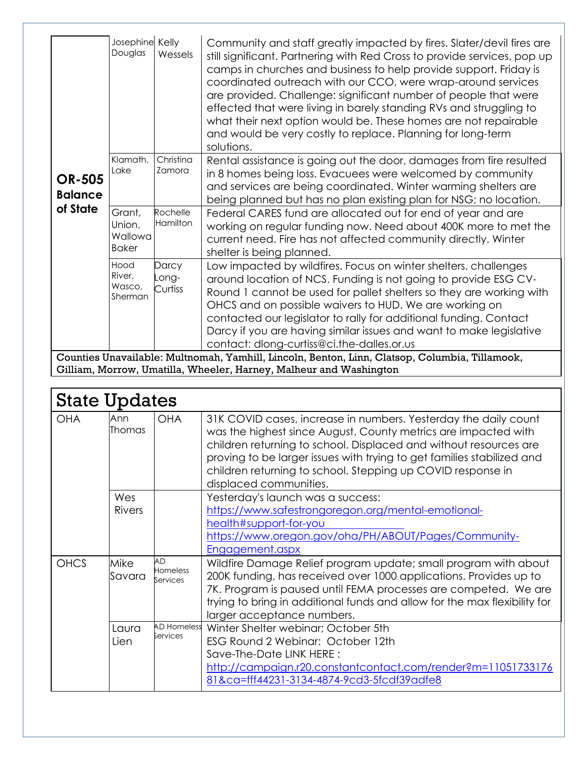| <b>OR-505</b><br><b>Balance</b><br>of State | Josephine Kelly<br>Douglas                                                                     | Wessels                   | Community and staff greatly impacted by fires. Slater/devil fires are<br>still significant. Partnering with Red Cross to provide services, pop up<br>camps in churches and business to help provide support. Friday is<br>coordinated outreach with our CCO, were wrap-around services<br>are provided. Challenge: significant number of people that were<br>effected that were living in barely standing RVs and struggling to<br>what their next option would be. These homes are not repairable<br>and would be very costly to replace. Planning for long-term<br>solutions. |
|---------------------------------------------|------------------------------------------------------------------------------------------------|---------------------------|---------------------------------------------------------------------------------------------------------------------------------------------------------------------------------------------------------------------------------------------------------------------------------------------------------------------------------------------------------------------------------------------------------------------------------------------------------------------------------------------------------------------------------------------------------------------------------|
|                                             | Klamath,<br>Lake                                                                               | Christina<br>Zamora       | Rental assistance is going out the door, damages from fire resulted<br>in 8 homes being loss. Evacuees were welcomed by community<br>and services are being coordinated. Winter warming shelters are<br>being planned but has no plan existing plan for NSG; no location.                                                                                                                                                                                                                                                                                                       |
|                                             | Grant,<br>Union,<br>Wallowa<br><b>Baker</b>                                                    | Rochelle<br>Hamilton      | Federal CARES fund are allocated out for end of year and are<br>working on regular funding now. Need about 400K more to met the<br>current need. Fire has not affected community directly. Winter<br>shelter is being planned.                                                                                                                                                                                                                                                                                                                                                  |
|                                             | Hood<br>River,<br>Wasco,<br>Sherman                                                            | Darcy<br>-ong-<br>Curtiss | Low impacted by wildfires. Focus on winter shelters, challenges<br>around location of NCS. Funding is not going to provide ESG CV-<br>Round 1 cannot be used for pallet shelters so they are working with<br>OHCS and on possible waivers to HUD. We are working on<br>contacted our legislator to rally for additional funding. Contact<br>Darcy if you are having similar issues and want to make legislative<br>contact: dlong-curtiss@ci.the-dalles.or.us                                                                                                                   |
|                                             | Counties Unavailable: Multnomah, Yamhill, Lincoln, Benton, Linn, Clatsop, Columbia, Tillamook, |                           |                                                                                                                                                                                                                                                                                                                                                                                                                                                                                                                                                                                 |

Gilliam, Morrow, Umatilla, Wheeler, Harney, Malheur and Washington

| <b>State Updates</b> |                      |                                   |                                                                                                                                                                                                                                                                                                                                                                           |
|----------------------|----------------------|-----------------------------------|---------------------------------------------------------------------------------------------------------------------------------------------------------------------------------------------------------------------------------------------------------------------------------------------------------------------------------------------------------------------------|
| <b>OHA</b>           | Ann<br>Thomas        | <b>OHA</b>                        | 31K COVID cases, increase in numbers. Yesterday the daily count<br>was the highest since August. County metrics are impacted with<br>children returning to school. Displaced and without resources are<br>proving to be larger issues with trying to get families stabilized and<br>children returning to school. Stepping up COVID response in<br>displaced communities. |
|                      | Wes<br><b>Rivers</b> |                                   | Yesterday's launch was a success:<br>https://www.safestrongoregon.org/mental-emotional-<br>health#support-for-you<br>https://www.oregon.gov/oha/PH/ABOUT/Pages/Community-<br>Engagement.aspx                                                                                                                                                                              |
| <b>OHCS</b>          | Mike<br>Savara       | AD<br><b>Homeless</b><br>Services | Wildfire Damage Relief program update; small program with about<br>200K funding, has received over 1000 applications. Provides up to<br>7K. Program is paused until FEMA processes are competed. We are<br>trying to bring in additional funds and allow for the max flexibility for<br>larger acceptance numbers.                                                        |
|                      | Laura<br>Lien        | <b>AD Homeless</b><br>Services    | Winter Shelter webinar; October 5th<br>ESG Round 2 Webinar: October 12th<br>Save-The-Date LINK HERE:<br>http://campaign.r20.constantcontact.com/render?m=11051733176<br>81&ca=fff44231-3134-4874-9cd3-5fcdf39adfe8                                                                                                                                                        |